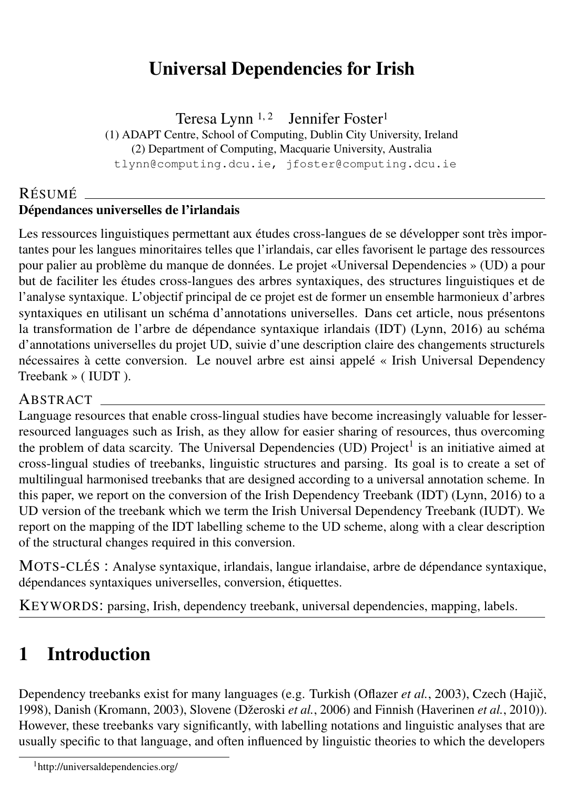# Universal Dependencies for Irish

Teresa Lynn  $1, 2$  Jennifer Foster<sup>1</sup>

(1) ADAPT Centre, School of Computing, Dublin City University, Ireland

(2) Department of Computing, Macquarie University, Australia

tlynn@computing.dcu.ie, jfoster@computing.dcu.ie

#### RÉSUMÉ Dépendances universelles de l'irlandais

Les ressources linguistiques permettant aux études cross-langues de se développer sont très importantes pour les langues minoritaires telles que l'irlandais, car elles favorisent le partage des ressources pour palier au problème du manque de données. Le projet «Universal Dependencies » (UD) a pour but de faciliter les études cross-langues des arbres syntaxiques, des structures linguistiques et de l'analyse syntaxique. L'objectif principal de ce projet est de former un ensemble harmonieux d'arbres syntaxiques en utilisant un schéma d'annotations universelles. Dans cet article, nous présentons la transformation de l'arbre de dépendance syntaxique irlandais (IDT) (Lynn, 2016) au schéma d'annotations universelles du projet UD, suivie d'une description claire des changements structurels nécessaires à cette conversion. Le nouvel arbre est ainsi appelé « Irish Universal Dependency Treebank » ( IUDT ).

#### ABSTRACT

Language resources that enable cross-lingual studies have become increasingly valuable for lesserresourced languages such as Irish, as they allow for easier sharing of resources, thus overcoming the problem of data scarcity. The Universal Dependencies (UD) Project<sup>1</sup> is an initiative aimed at cross-lingual studies of treebanks, linguistic structures and parsing. Its goal is to create a set of multilingual harmonised treebanks that are designed according to a universal annotation scheme. In this paper, we report on the conversion of the Irish Dependency Treebank (IDT) (Lynn, 2016) to a UD version of the treebank which we term the Irish Universal Dependency Treebank (IUDT). We report on the mapping of the IDT labelling scheme to the UD scheme, along with a clear description of the structural changes required in this conversion.

MOTS-CLÉS : Analyse syntaxique, irlandais, langue irlandaise, arbre de dépendance syntaxique, dépendances syntaxiques universelles, conversion, étiquettes.

KEYWORDS: parsing, Irish, dependency treebank, universal dependencies, mapping, labels.

# 1 Introduction

Dependency treebanks exist for many languages (e.g. Turkish (Oflazer et al., 2003), Czech (Hajič, 1998), Danish (Kromann, 2003), Slovene (Džeroski *et al.*, 2006) and Finnish (Haverinen *et al.*, 2010)). However, these treebanks vary significantly, with labelling notations and linguistic analyses that are usually specific to that language, and often influenced by linguistic theories to which the developers

<sup>1</sup>http://universaldependencies.org/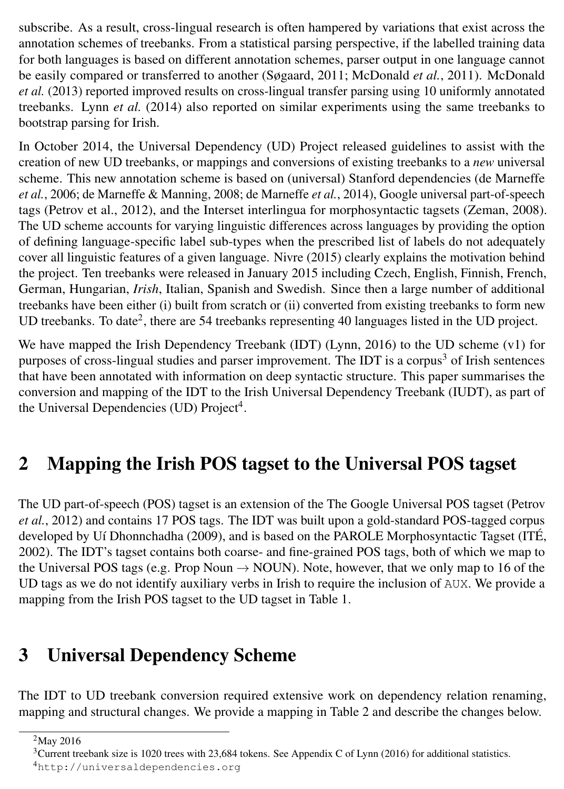subscribe. As a result, cross-lingual research is often hampered by variations that exist across the annotation schemes of treebanks. From a statistical parsing perspective, if the labelled training data for both languages is based on different annotation schemes, parser output in one language cannot be easily compared or transferred to another (Søgaard, 2011; McDonald *et al.*, 2011). McDonald *et al.* (2013) reported improved results on cross-lingual transfer parsing using 10 uniformly annotated treebanks. Lynn *et al.* (2014) also reported on similar experiments using the same treebanks to bootstrap parsing for Irish.

In October 2014, the Universal Dependency (UD) Project released guidelines to assist with the creation of new UD treebanks, or mappings and conversions of existing treebanks to a *new* universal scheme. This new annotation scheme is based on (universal) Stanford dependencies (de Marneffe *et al.*, 2006; de Marneffe & Manning, 2008; de Marneffe *et al.*, 2014), Google universal part-of-speech tags (Petrov et al., 2012), and the Interset interlingua for morphosyntactic tagsets (Zeman, 2008). The UD scheme accounts for varying linguistic differences across languages by providing the option of defining language-specific label sub-types when the prescribed list of labels do not adequately cover all linguistic features of a given language. Nivre (2015) clearly explains the motivation behind the project. Ten treebanks were released in January 2015 including Czech, English, Finnish, French, German, Hungarian, *Irish*, Italian, Spanish and Swedish. Since then a large number of additional treebanks have been either (i) built from scratch or (ii) converted from existing treebanks to form new UD treebanks. To date<sup>2</sup>, there are 54 treebanks representing 40 languages listed in the UD project.

We have mapped the Irish Dependency Treebank (IDT) (Lynn, 2016) to the UD scheme (v1) for purposes of cross-lingual studies and parser improvement. The IDT is a corpus<sup>3</sup> of Irish sentences that have been annotated with information on deep syntactic structure. This paper summarises the conversion and mapping of the IDT to the Irish Universal Dependency Treebank (IUDT), as part of the Universal Dependencies (UD) Project<sup>4</sup>.

# 2 Mapping the Irish POS tagset to the Universal POS tagset

The UD part-of-speech (POS) tagset is an extension of the The Google Universal POS tagset (Petrov *et al.*, 2012) and contains 17 POS tags. The IDT was built upon a gold-standard POS-tagged corpus developed by Uí Dhonnchadha (2009), and is based on the PAROLE Morphosyntactic Tagset (ITÉ, 2002). The IDT's tagset contains both coarse- and fine-grained POS tags, both of which we map to the Universal POS tags (e.g. Prop Noun  $\rightarrow$  NOUN). Note, however, that we only map to 16 of the UD tags as we do not identify auxiliary verbs in Irish to require the inclusion of AUX. We provide a mapping from the Irish POS tagset to the UD tagset in Table 1.

# 3 Universal Dependency Scheme

The IDT to UD treebank conversion required extensive work on dependency relation renaming, mapping and structural changes. We provide a mapping in Table 2 and describe the changes below.

<sup>2</sup>May 2016

 $3$ Current treebank size is 1020 trees with 23,684 tokens. See Appendix C of Lynn (2016) for additional statistics. <sup>4</sup>http://universaldependencies.org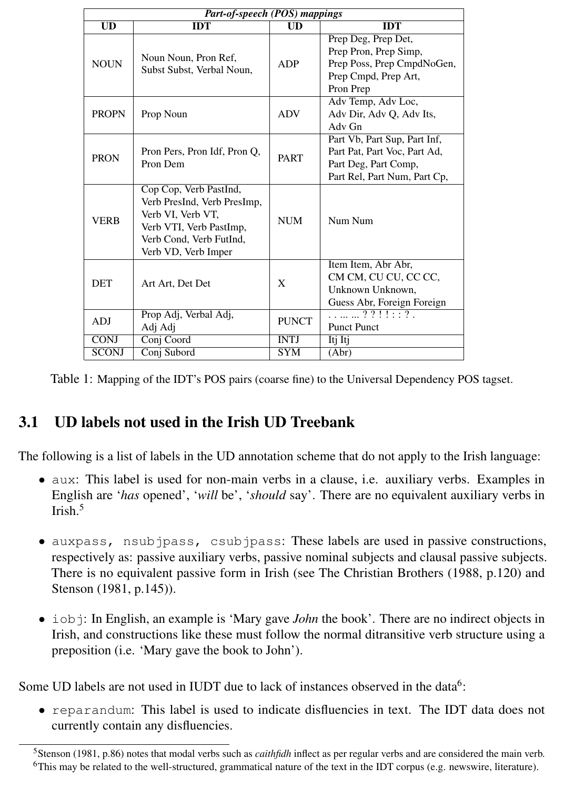| Part-of-speech (POS) mappings |                                                                                                                                                         |                        |                                                                                                                      |  |  |  |
|-------------------------------|---------------------------------------------------------------------------------------------------------------------------------------------------------|------------------------|----------------------------------------------------------------------------------------------------------------------|--|--|--|
| $\overline{\text{UD}}$        | <b>IDT</b>                                                                                                                                              | $\overline{\text{UD}}$ | <b>IDT</b>                                                                                                           |  |  |  |
| <b>NOUN</b>                   | Noun Noun, Pron Ref.<br>Subst Subst, Verbal Noun,                                                                                                       | <b>ADP</b>             | Prep Deg, Prep Det,<br>Prep Pron, Prep Simp,<br>Prep Poss, Prep CmpdNoGen,<br>Prep Cmpd, Prep Art,<br>Pron Prep      |  |  |  |
| <b>PROPN</b>                  | Prop Noun                                                                                                                                               | <b>ADV</b>             | Adv Temp, Adv Loc,<br>Adv Dir, Adv Q, Adv Its,<br>Adv Gn                                                             |  |  |  |
| <b>PRON</b>                   | Pron Pers, Pron Idf, Pron Q,<br>Pron Dem                                                                                                                | <b>PART</b>            | Part Vb, Part Sup, Part Inf,<br>Part Pat, Part Voc, Part Ad,<br>Part Deg, Part Comp,<br>Part Rel, Part Num, Part Cp, |  |  |  |
| <b>VERB</b>                   | Cop Cop, Verb PastInd,<br>Verb PresInd, Verb PresImp,<br>Verb VI, Verb VT,<br>Verb VTI, Verb PastImp,<br>Verb Cond, Verb FutInd,<br>Verb VD, Verb Imper | <b>NUM</b>             | Num Num                                                                                                              |  |  |  |
| <b>DET</b>                    | Art Art. Det Det                                                                                                                                        | X                      | Item Item, Abr Abr,<br>CM CM, CU CU, CC CC,<br>Unknown Unknown.<br>Guess Abr, Foreign Foreign                        |  |  |  |
| <b>ADJ</b>                    | Prop Adj, Verbal Adj,<br>Adj Adj                                                                                                                        | <b>PUNCT</b>           | . ? ? ! ! : : ? .<br><b>Punct Punct</b>                                                                              |  |  |  |
| <b>CONJ</b>                   | Conj Coord                                                                                                                                              | <b>INTJ</b>            | Itj Itj                                                                                                              |  |  |  |
| <b>SCONJ</b>                  | Conj Subord                                                                                                                                             | <b>SYM</b>             | (Abr)                                                                                                                |  |  |  |

Table 1: Mapping of the IDT's POS pairs (coarse fine) to the Universal Dependency POS tagset.

#### 3.1 UD labels not used in the Irish UD Treebank

The following is a list of labels in the UD annotation scheme that do not apply to the Irish language:

- aux: This label is used for non-main verbs in a clause, i.e. auxiliary verbs. Examples in English are '*has* opened', '*will* be', '*should* say'. There are no equivalent auxiliary verbs in Irish $<sup>5</sup>$ </sup>
- auxpass, nsubjpass, csubjpass: These labels are used in passive constructions, respectively as: passive auxiliary verbs, passive nominal subjects and clausal passive subjects. There is no equivalent passive form in Irish (see The Christian Brothers (1988, p.120) and Stenson (1981, p.145)).
- iobj: In English, an example is 'Mary gave *John* the book'. There are no indirect objects in Irish, and constructions like these must follow the normal ditransitive verb structure using a preposition (i.e. 'Mary gave the book to John').

Some UD labels are not used in IUDT due to lack of instances observed in the data<sup>6</sup>:

• reparandum: This label is used to indicate disfluencies in text. The IDT data does not currently contain any disfluencies.

<sup>5</sup>Stenson (1981, p.86) notes that modal verbs such as *caithfidh* inflect as per regular verbs and are considered the main verb.  $6$ This may be related to the well-structured, grammatical nature of the text in the IDT corpus (e.g. newswire, literature).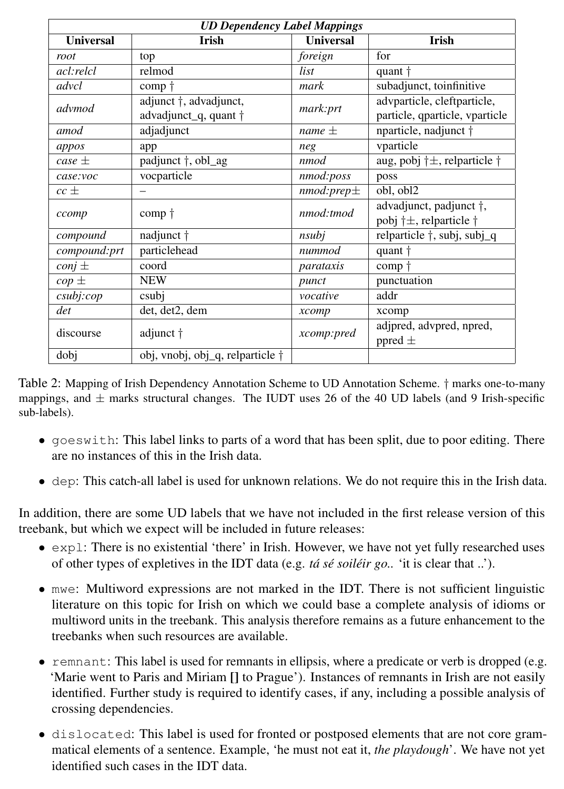| <b>UD Dependency Label Mappings</b> |                                  |                  |                                                 |  |  |
|-------------------------------------|----------------------------------|------------------|-------------------------------------------------|--|--|
| <b>Universal</b>                    | Irish                            | <b>Universal</b> | Irish                                           |  |  |
| root                                | top                              | foreign          | for                                             |  |  |
| acl:relcl                           | relmod                           | list             | quant †                                         |  |  |
| advcl                               | comp †                           | mark             | subadjunct, toinfinitive                        |  |  |
| advmod                              | adjunct $\dagger$ , advadjunct,  | mark:prt         | advparticle, cleftparticle,                     |  |  |
|                                     | advadjunct_q, quant †            |                  | particle, qparticle, vparticle                  |  |  |
| amod                                | adjadjunct                       | $name +$         | nparticle, nadjunct †                           |  |  |
| appos                               | app                              | neg              | vparticle                                       |  |  |
| case $\pm$                          | padjunct $\dagger$ , obl_ag      | nmod             | aug, pobj $\dagger \pm$ , relparticle $\dagger$ |  |  |
| case:voc                            | vocparticle                      | nmod:poss        | poss                                            |  |  |
| $cc \pm$                            |                                  | $nmod:prep \pm$  | obl, obl2                                       |  |  |
| ccomp                               | $comp \uparrow$                  | nmod:tmod        | advadjunct, padjunct †,                         |  |  |
|                                     |                                  |                  | pobj †±, relparticle †                          |  |  |
| compound                            | nadjunct †                       | nsubi            | relparticle †, subj, subj_q                     |  |  |
| compound:prt                        | particlehead                     | nummod           | quant †                                         |  |  |
| $conj \pm$                          | coord                            | parataxis        | comp †                                          |  |  |
| $\omega$ $\pm$                      | <b>NEW</b>                       | punct            | punctuation                                     |  |  |
| csubj:cop                           | csubi                            | vocative         | addr                                            |  |  |
| det                                 | det, det2, dem                   | xcomp            | xcomp                                           |  |  |
| discourse                           | adjunct †                        | xcomp:pred       | adjpred, advpred, npred,                        |  |  |
|                                     |                                  |                  | ppred $\pm$                                     |  |  |
| dobj                                | obj, vnobj, obj_q, relparticle † |                  |                                                 |  |  |

Table 2: Mapping of Irish Dependency Annotation Scheme to UD Annotation Scheme. † marks one-to-many mappings, and  $\pm$  marks structural changes. The IUDT uses 26 of the 40 UD labels (and 9 Irish-specific sub-labels).

- goeswith: This label links to parts of a word that has been split, due to poor editing. There are no instances of this in the Irish data.
- dep: This catch-all label is used for unknown relations. We do not require this in the Irish data.

In addition, there are some UD labels that we have not included in the first release version of this treebank, but which we expect will be included in future releases:

- expl: There is no existential 'there' in Irish. However, we have not yet fully researched uses of other types of expletives in the IDT data (e.g. *tá sé soiléir go..* 'it is clear that ..').
- mwe: Multiword expressions are not marked in the IDT. There is not sufficient linguistic literature on this topic for Irish on which we could base a complete analysis of idioms or multiword units in the treebank. This analysis therefore remains as a future enhancement to the treebanks when such resources are available.
- remnant: This label is used for remnants in ellipsis, where a predicate or verb is dropped (e.g. 'Marie went to Paris and Miriam [] to Prague'). Instances of remnants in Irish are not easily identified. Further study is required to identify cases, if any, including a possible analysis of crossing dependencies.
- dislocated: This label is used for fronted or postposed elements that are not core grammatical elements of a sentence. Example, 'he must not eat it, *the playdough*'. We have not yet identified such cases in the IDT data.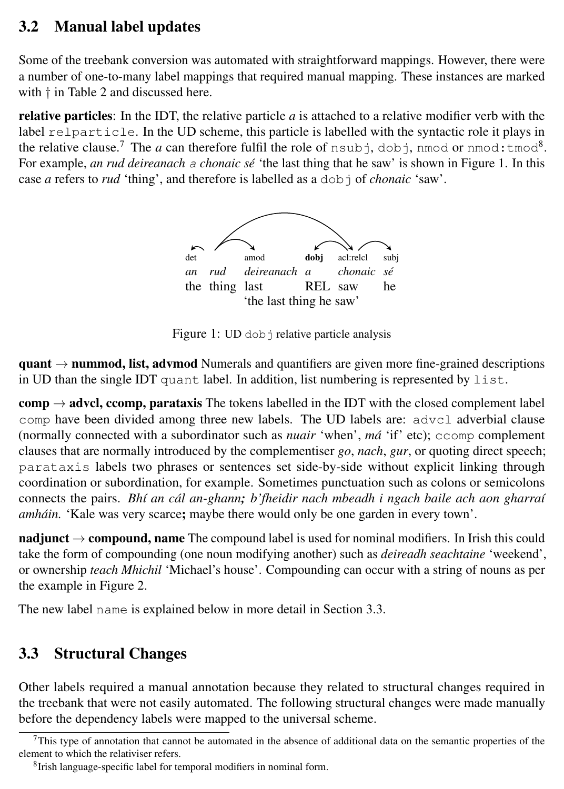### 3.2 Manual label updates

Some of the treebank conversion was automated with straightforward mappings. However, there were a number of one-to-many label mappings that required manual mapping. These instances are marked with  $\dagger$  in Table 2 and discussed here.

**relative particles**: In the IDT, the relative particle  $a$  is attached to a relative modifier verb with the label relparticle. In the UD scheme, this particle is labelled with the syntactic role it plays in the relative clause.<sup>7</sup> The *a* can therefore fulfil the role of  $n$  subj, dobj, nmod or  $n$ mod:  $t$  mod $^8$ . For example, *an rud deireanach* a *chonaic sé* 'the last thing that he saw' is shown in Figure 1. In this case *a* refers to *rud* 'thing', and therefore is labelled as a dobj of *chonaic* 'saw'.



Figure 1: UD dob *j* relative particle analysis

 $\mathbf{quant} \rightarrow \mathbf{nummod}, \mathbf{list}, \mathbf{adymod}$  Numerals and quantifiers are given more fine-grained descriptions in UD than the single IDT quant label. In addition, list numbering is represented by  $list$ .

 $comp \rightarrow advel$ , ccomp, parataxis The tokens labelled in the IDT with the closed complement label comp have been divided among three new labels. The UD labels are: advcl adverbial clause (normally connected with a subordinator such as *nuair* 'when', *má* 'if' etc); ccomp complement clauses that are normally introduced by the complementiser *go*, *nach*, *gur*, or quoting direct speech; parataxis labels two phrases or sentences set side-by-side without explicit linking through coordination or subordination, for example. Sometimes punctuation such as colons or semicolons connects the pairs. *Bhí an cál an-ghann; b'fheidir nach mbeadh i ngach baile ach aon gharraí amháin.* 'Kale was very scarce; maybe there would only be one garden in every town'.

nadjunct  $\rightarrow$  compound, name The compound label is used for nominal modifiers. In Irish this could take the form of compounding (one noun modifying another) such as *deireadh seachtaine* 'weekend', or ownership *teach Mhichil* 'Michael's house'. Compounding can occur with a string of nouns as per the example in Figure 2.

The new label name is explained below in more detail in Section 3.3.

### 3.3 Structural Changes

Other labels required a manual annotation because they related to structural changes required in the treebank that were not easily automated. The following structural changes were made manually before the dependency labels were mapped to the universal scheme.

 $7$ This type of annotation that cannot be automated in the absence of additional data on the semantic properties of the element to which the relativiser refers.

<sup>8</sup> Irish language-specific label for temporal modifiers in nominal form.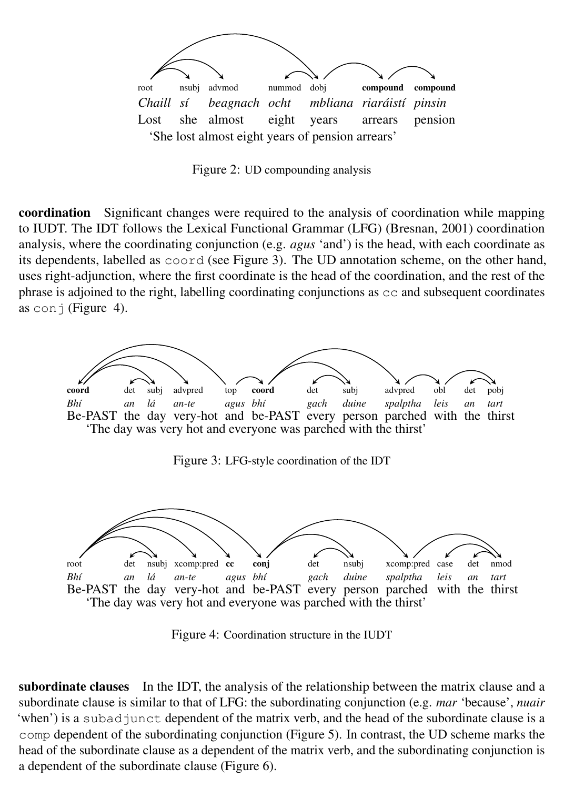

Figure 2: UD compounding analysis

coordination Significant changes were required to the analysis of coordination while mapping to IUDT. The IDT follows the Lexical Functional Grammar (LFG) (Bresnan, 2001) coordination analysis, where the coordinating conjunction (e.g. *agus* 'and') is the head, with each coordinate as its dependents, labelled as coord (see Figure 3). The UD annotation scheme, on the other hand, uses right-adjunction, where the first coordinate is the head of the coordination, and the rest of the phrase is adjoined to the right, labelling coordinating conjunctions as  $\infty$  and subsequent coordinates as conj (Figure 4).



Figure 3: LFG-style coordination of the IDT



Figure 4: Coordination structure in the IUDT

subordinate clauses In the IDT, the analysis of the relationship between the matrix clause and a subordinate clause is similar to that of LFG: the subordinating conjunction (e.g. *mar* 'because', *nuair* 'when') is a subad junct dependent of the matrix verb, and the head of the subordinate clause is a comp dependent of the subordinating conjunction (Figure 5). In contrast, the UD scheme marks the head of the subordinate clause as a dependent of the matrix verb, and the subordinating conjunction is a dependent of the subordinate clause (Figure 6).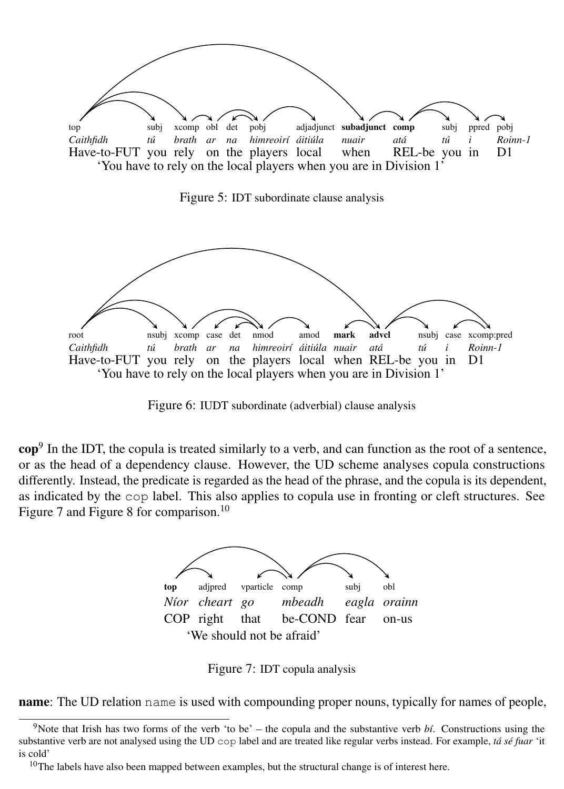

Figure 5: IDT subordinate clause analysis



Figure 6: IUDT subordinate (adverbial) clause analysis

 $\text{cop}^9$  In the IDT, the copula is treated similarly to a verb, and can function as the root of a sentence, or as the head of a dependency clause. However, the UD scheme analyses copula constructions differently. Instead, the predicate is regarded as the head of the phrase, and the copula is its dependent, as indicated by the cop label. This also applies to copula use in fronting or cleft structures. See Figure 7 and Figure 8 for comparison.<sup>10</sup>



Figure 7: IDT copula analysis

**name**: The UD relation name is used with compounding proper nouns, typically for names of people,

<sup>&</sup>lt;sup>9</sup>Note that Irish has two forms of the verb 'to be' – the copula and the substantive verb  $b\ell$ . Constructions using the substantive verb are not analysed using the UD cop label and are treated like regular verbs instead. For example, *tá sé fuar* 'it is cold'

 $10$ The labels have also been mapped between examples, but the structural change is of interest here.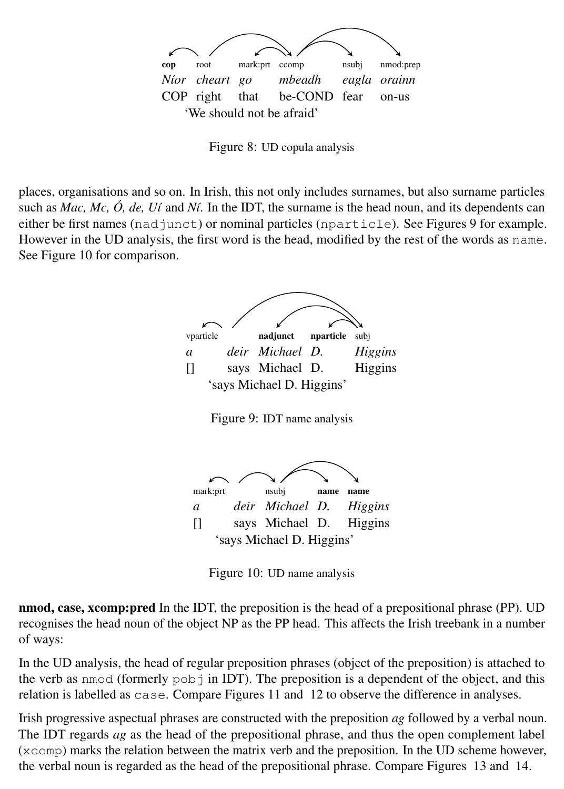

Figure 8: UD copula analysis

places, organisations and so on. In Irish, this not only includes surnames, but also surname particles such as *Mac, Mc, Ó, de, Uí* and *Ní*. In the IDT, the surname is the head noun, and its dependents can either be first names (nadjunct) or nominal particles (nparticle). See Figures 9 for example. However in the UD analysis, the first word is the head, modified by the rest of the words as name. See Figure 10 for comparison.







Figure 10: UD name analysis

nmod, case, xcomp:pred In the IDT, the preposition is the head of a prepositional phrase (PP). UD recognises the head noun of the object NP as the PP head. This affects the Irish treebank in a number of ways:

In the UD analysis, the head of regular preposition phrases (object of the preposition) is attached to the verb as nmod (formerly  $p \circ b$ ) in IDT). The preposition is a dependent of the object, and this relation is labelled as case. Compare Figures 11 and 12 to observe the difference in analyses.

Irish progressive aspectual phrases are constructed with the preposition *ag* followed by a verbal noun. The IDT regards *ag* as the head of the prepositional phrase, and thus the open complement label (xcomp) marks the relation between the matrix verb and the preposition. In the UD scheme however, the verbal noun is regarded as the head of the prepositional phrase. Compare Figures 13 and 14.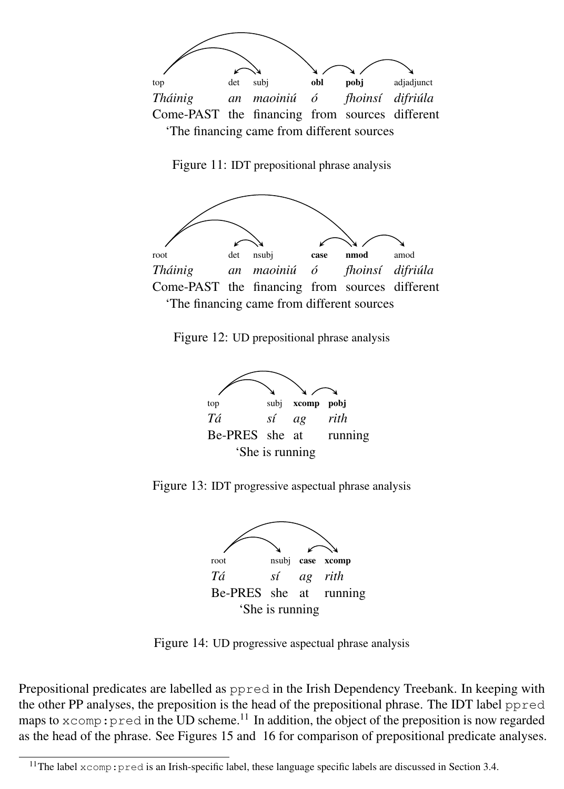

Figure 11: IDT prepositional phrase analysis



Figure 12: UD prepositional phrase analysis



Figure 13: IDT progressive aspectual phrase analysis



Figure 14: UD progressive aspectual phrase analysis

Prepositional predicates are labelled as ppred in the Irish Dependency Treebank. In keeping with the other PP analyses, the preposition is the head of the prepositional phrase. The IDT label ppred maps to  $x$ comp: pred in the UD scheme.<sup>11</sup> In addition, the object of the preposition is now regarded as the head of the phrase. See Figures 15 and 16 for comparison of prepositional predicate analyses.

<sup>&</sup>lt;sup>11</sup>The label xcomp: pred is an Irish-specific label, these language specific labels are discussed in Section 3.4.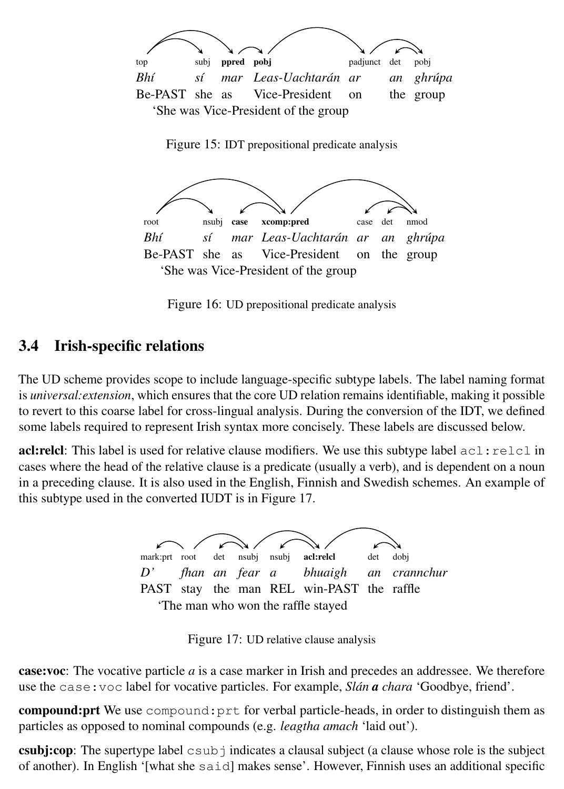

Figure 15: IDT prepositional predicate analysis



Figure 16: UD prepositional predicate analysis

#### 3.4 Irish-specific relations

The UD scheme provides scope to include language-specific subtype labels. The label naming format is *universal:extension*, which ensures that the core UD relation remains identifiable, making it possible to revert to this coarse label for cross-lingual analysis. During the conversion of the IDT, we defined some labels required to represent Irish syntax more concisely. These labels are discussed below.

**acl:relcl**: This label is used for relative clause modifiers. We use this subtype label  $\text{acl}$ : relcl in cases where the head of the relative clause is a predicate (usually a verb), and is dependent on a noun in a preceding clause. It is also used in the English, Finnish and Swedish schemes. An example of this subtype used in the converted IUDT is in Figure 17.



Figure 17: UD relative clause analysis

case:voc: The vocative particle *a* is a case marker in Irish and precedes an addressee. We therefore use the case:voc label for vocative particles. For example, *Slán a chara* 'Goodbye, friend'.

compound:prt We use compound:prt for verbal particle-heads, in order to distinguish them as particles as opposed to nominal compounds (e.g. *leagtha amach* 'laid out').

**csubj:cop:** The supertype label  $\cosh$  indicates a clausal subject (a clause whose role is the subject of another). In English '[what she said] makes sense'. However, Finnish uses an additional specific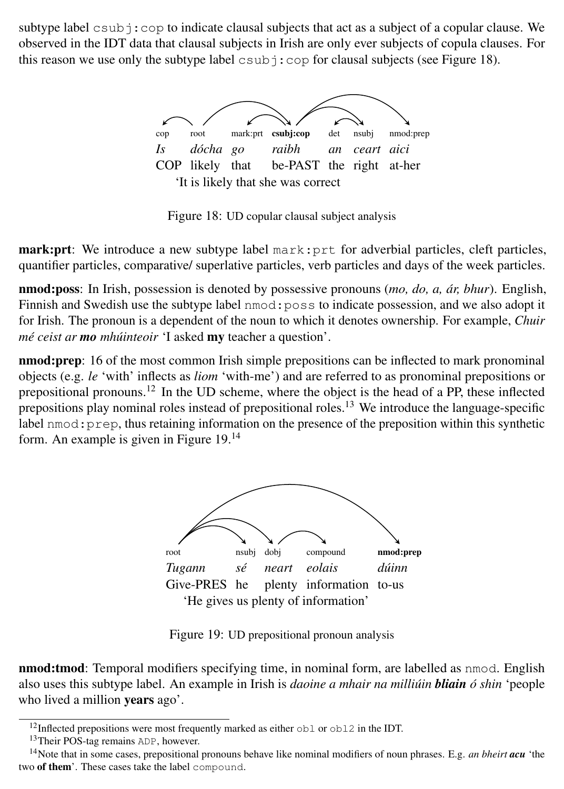subtype label  $\cosh$ :  $\cosh$  to indicate clausal subjects that act as a subject of a copular clause. We observed in the IDT data that clausal subjects in Irish are only ever subjects of copula clauses. For this reason we use only the subtype label  $\cosh$  :  $\cosh$  for clausal subjects (see Figure 18).



Figure 18: UD copular clausal subject analysis

mark:prt: We introduce a new subtype label mark:prt for adverbial particles, cleft particles, quantifier particles, comparative/ superlative particles, verb particles and days of the week particles.

nmod:poss: In Irish, possession is denoted by possessive pronouns (*mo, do, a, ár, bhur*). English, Finnish and Swedish use the subtype label nmod:poss to indicate possession, and we also adopt it for Irish. The pronoun is a dependent of the noun to which it denotes ownership. For example, *Chuir mé ceist ar mo mhúinteoir* 'I asked my teacher a question'.

nmod:prep: 16 of the most common Irish simple prepositions can be inflected to mark pronominal objects (e.g. *le* 'with' inflects as *liom* 'with-me') and are referred to as pronominal prepositions or prepositional pronouns.<sup>12</sup> In the UD scheme, where the object is the head of a PP, these inflected prepositions play nominal roles instead of prepositional roles.<sup>13</sup> We introduce the language-specific label nmod:prep, thus retaining information on the presence of the preposition within this synthetic form. An example is given in Figure 19.<sup>14</sup>



Figure 19: UD prepositional pronoun analysis

**nmod:tmod**: Temporal modifiers specifying time, in nominal form, are labelled as nmod. English also uses this subtype label. An example in Irish is *daoine a mhair na milliúin bliain ó shin* 'people who lived a million years ago'.

<sup>12</sup>Inflected prepositions were most frequently marked as either obl or obl2 in the IDT.

<sup>&</sup>lt;sup>13</sup>Their POS-tag remains ADP, however.

<sup>14</sup>Note that in some cases, prepositional pronouns behave like nominal modifiers of noun phrases. E.g. *an bheirt acu* 'the two of them'. These cases take the label compound.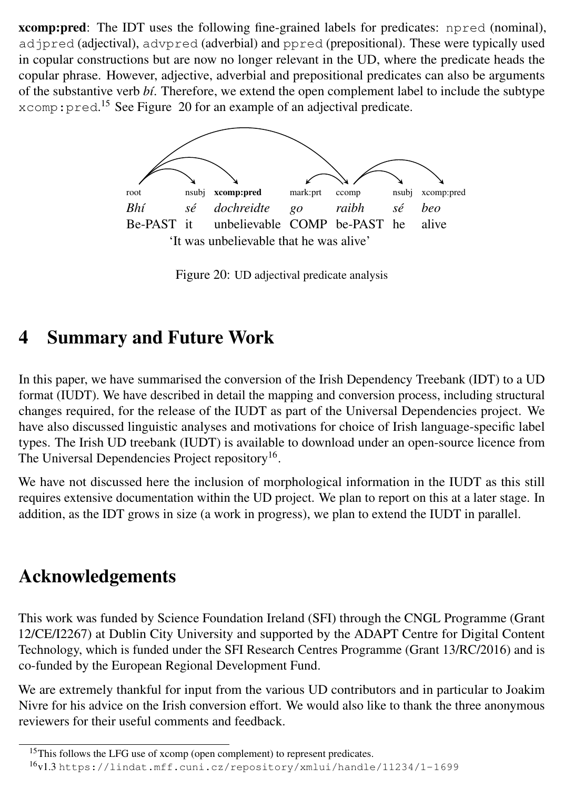xcomp:pred: The IDT uses the following fine-grained labels for predicates: npred (nominal), adjpred (adjectival), advpred (adverbial) and ppred (prepositional). These were typically used in copular constructions but are now no longer relevant in the UD, where the predicate heads the copular phrase. However, adjective, adverbial and prepositional predicates can also be arguments of the substantive verb *bí*. Therefore, we extend the open complement label to include the subtype xcomp: pred.<sup>15</sup> See Figure 20 for an example of an adjectival predicate.



Figure 20: UD adjectival predicate analysis

## 4 Summary and Future Work

In this paper, we have summarised the conversion of the Irish Dependency Treebank (IDT) to a UD format (IUDT). We have described in detail the mapping and conversion process, including structural changes required, for the release of the IUDT as part of the Universal Dependencies project. We have also discussed linguistic analyses and motivations for choice of Irish language-specific label types. The Irish UD treebank (IUDT) is available to download under an open-source licence from The Universal Dependencies Project repository<sup>16</sup>.

We have not discussed here the inclusion of morphological information in the IUDT as this still requires extensive documentation within the UD project. We plan to report on this at a later stage. In addition, as the IDT grows in size (a work in progress), we plan to extend the IUDT in parallel.

## Acknowledgements

This work was funded by Science Foundation Ireland (SFI) through the CNGL Programme (Grant 12/CE/I2267) at Dublin City University and supported by the ADAPT Centre for Digital Content Technology, which is funded under the SFI Research Centres Programme (Grant 13/RC/2016) and is co-funded by the European Regional Development Fund.

We are extremely thankful for input from the various UD contributors and in particular to Joakim Nivre for his advice on the Irish conversion effort. We would also like to thank the three anonymous reviewers for their useful comments and feedback.

<sup>&</sup>lt;sup>15</sup>This follows the LFG use of xcomp (open complement) to represent predicates. <sup>16</sup>v1.3 https://lindat.mff.cuni.cz/repository/xmlui/handle/11234/1-1699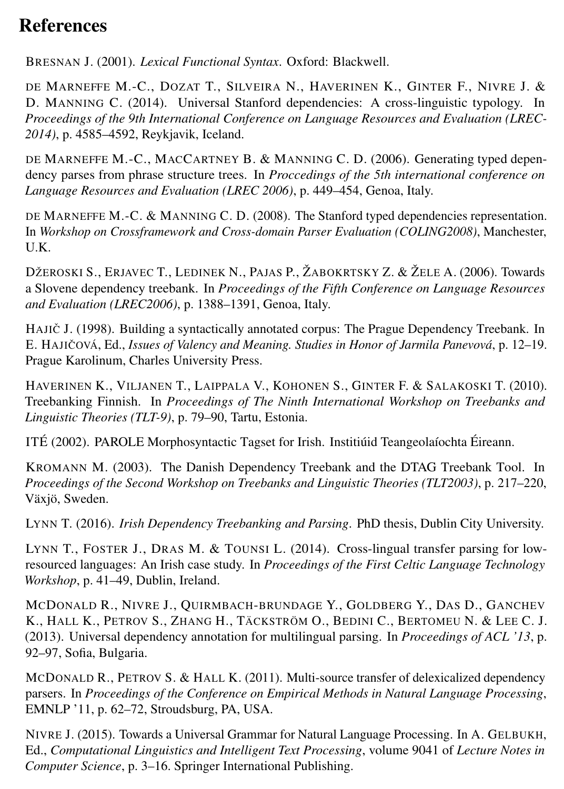# References

BRESNAN J. (2001). *Lexical Functional Syntax*. Oxford: Blackwell.

DE MARNEFFE M.-C., DOZAT T., SILVEIRA N., HAVERINEN K., GINTER F., NIVRE J. & D. MANNING C. (2014). Universal Stanford dependencies: A cross-linguistic typology. In *Proceedings of the 9th International Conference on Language Resources and Evaluation (LREC-2014)*, p. 4585–4592, Reykjavik, Iceland.

DE MARNEFFE M.-C., MACCARTNEY B. & MANNING C. D. (2006). Generating typed dependency parses from phrase structure trees. In *Proccedings of the 5th international conference on Language Resources and Evaluation (LREC 2006)*, p. 449–454, Genoa, Italy.

DE MARNEFFE M.-C. & MANNING C. D. (2008). The Stanford typed dependencies representation. In *Workshop on Crossframework and Cross-domain Parser Evaluation (COLING2008)*, Manchester,  $I K$ 

DŽEROSKI S., ERJAVEC T., LEDINEK N., PAJAS P., ŽABOKRTSKY Z. & ŽELE A. (2006). Towards a Slovene dependency treebank. In *Proceedings of the Fifth Conference on Language Resources and Evaluation (LREC2006)*, p. 1388–1391, Genoa, Italy.

HAJICˇ J. (1998). Building a syntactically annotated corpus: The Prague Dependency Treebank. In E. HAJIČOVÁ, Ed., *Issues of Valency and Meaning. Studies in Honor of Jarmila Panevová*, p. 12–19. Prague Karolinum, Charles University Press.

HAVERINEN K., VILJANEN T., LAIPPALA V., KOHONEN S., GINTER F. & SALAKOSKI T. (2010). Treebanking Finnish. In *Proceedings of The Ninth International Workshop on Treebanks and Linguistic Theories (TLT-9)*, p. 79–90, Tartu, Estonia.

ITÉ (2002). PAROLE Morphosyntactic Tagset for Irish. Institiúid Teangeolaíochta Éireann.

KROMANN M. (2003). The Danish Dependency Treebank and the DTAG Treebank Tool. In *Proceedings of the Second Workshop on Treebanks and Linguistic Theories (TLT2003)*, p. 217–220, Växjö, Sweden.

LYNN T. (2016). *Irish Dependency Treebanking and Parsing*. PhD thesis, Dublin City University.

LYNN T., FOSTER J., DRAS M. & TOUNSI L. (2014). Cross-lingual transfer parsing for lowresourced languages: An Irish case study. In *Proceedings of the First Celtic Language Technology Workshop*, p. 41–49, Dublin, Ireland.

MCDONALD R., NIVRE J., QUIRMBACH-BRUNDAGE Y., GOLDBERG Y., DAS D., GANCHEV K., HALL K., PETROV S., ZHANG H., TÄCKSTRÖM O., BEDINI C., BERTOMEU N. & LEE C. J. (2013). Universal dependency annotation for multilingual parsing. In *Proceedings of ACL '13*, p. 92–97, Sofia, Bulgaria.

MCDONALD R., PETROV S. & HALL K. (2011). Multi-source transfer of delexicalized dependency parsers. In *Proceedings of the Conference on Empirical Methods in Natural Language Processing*, EMNLP '11, p. 62–72, Stroudsburg, PA, USA.

NIVRE J. (2015). Towards a Universal Grammar for Natural Language Processing. In A. GELBUKH, Ed., *Computational Linguistics and Intelligent Text Processing*, volume 9041 of *Lecture Notes in Computer Science*, p. 3–16. Springer International Publishing.